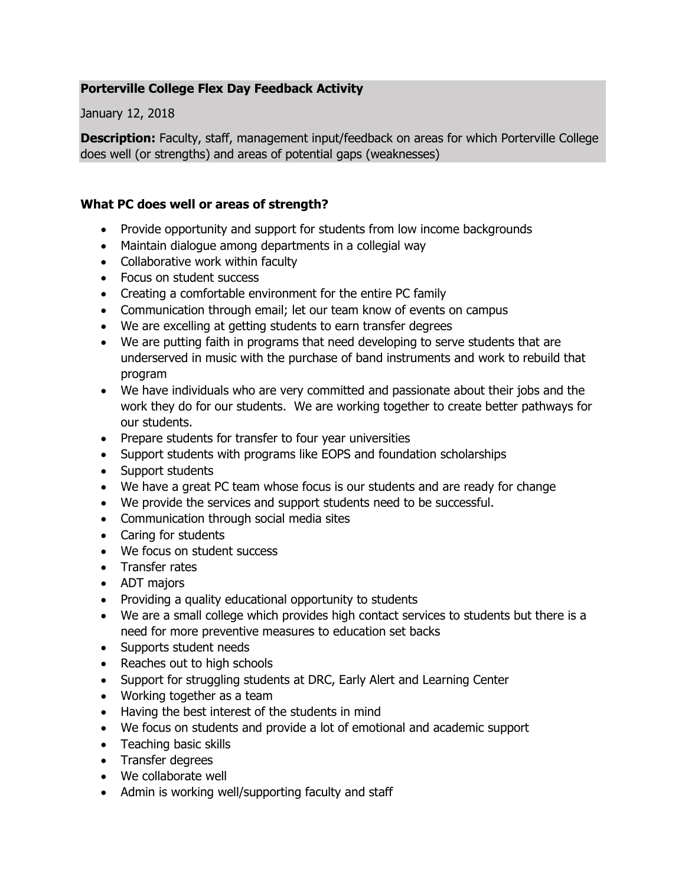## **Porterville College Flex Day Feedback Activity**

January 12, 2018

**Description:** Faculty, staff, management input/feedback on areas for which Porterville College does well (or strengths) and areas of potential gaps (weaknesses)

## **What PC does well or areas of strength?**

- Provide opportunity and support for students from low income backgrounds
- Maintain dialogue among departments in a collegial way
- Collaborative work within faculty
- Focus on student success
- Creating a comfortable environment for the entire PC family
- Communication through email; let our team know of events on campus
- We are excelling at getting students to earn transfer degrees
- We are putting faith in programs that need developing to serve students that are underserved in music with the purchase of band instruments and work to rebuild that program
- We have individuals who are very committed and passionate about their jobs and the work they do for our students. We are working together to create better pathways for our students.
- Prepare students for transfer to four year universities
- Support students with programs like EOPS and foundation scholarships
- Support students
- We have a great PC team whose focus is our students and are ready for change
- We provide the services and support students need to be successful.
- Communication through social media sites
- Caring for students
- We focus on student success
- Transfer rates
- ADT majors
- Providing a quality educational opportunity to students
- We are a small college which provides high contact services to students but there is a need for more preventive measures to education set backs
- Supports student needs
- Reaches out to high schools
- Support for struggling students at DRC, Early Alert and Learning Center
- Working together as a team
- Having the best interest of the students in mind
- We focus on students and provide a lot of emotional and academic support
- Teaching basic skills
- Transfer degrees
- We collaborate well
- Admin is working well/supporting faculty and staff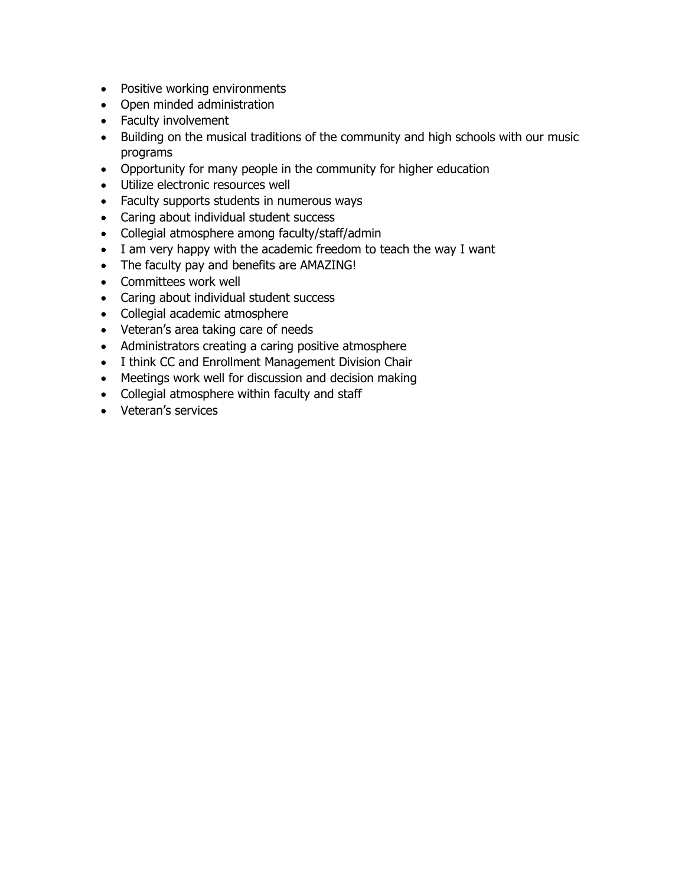- Positive working environments
- Open minded administration
- Faculty involvement
- Building on the musical traditions of the community and high schools with our music programs
- Opportunity for many people in the community for higher education
- Utilize electronic resources well
- Faculty supports students in numerous ways
- Caring about individual student success
- Collegial atmosphere among faculty/staff/admin
- I am very happy with the academic freedom to teach the way I want
- The faculty pay and benefits are AMAZING!
- Committees work well
- Caring about individual student success
- Collegial academic atmosphere
- Veteran's area taking care of needs
- Administrators creating a caring positive atmosphere
- I think CC and Enrollment Management Division Chair
- Meetings work well for discussion and decision making
- Collegial atmosphere within faculty and staff
- Veteran's services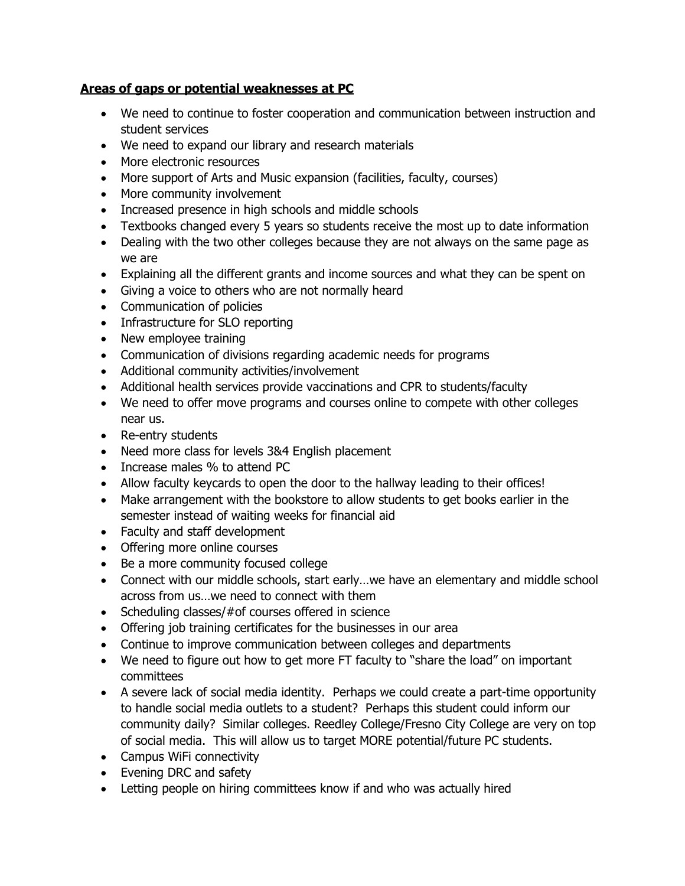## **Areas of gaps or potential weaknesses at PC**

- We need to continue to foster cooperation and communication between instruction and student services
- We need to expand our library and research materials
- More electronic resources
- More support of Arts and Music expansion (facilities, faculty, courses)
- More community involvement
- Increased presence in high schools and middle schools
- Textbooks changed every 5 years so students receive the most up to date information
- Dealing with the two other colleges because they are not always on the same page as we are
- Explaining all the different grants and income sources and what they can be spent on
- Giving a voice to others who are not normally heard
- Communication of policies
- Infrastructure for SLO reporting
- New employee training
- Communication of divisions regarding academic needs for programs
- Additional community activities/involvement
- Additional health services provide vaccinations and CPR to students/faculty
- We need to offer move programs and courses online to compete with other colleges near us.
- Re-entry students
- Need more class for levels 3&4 English placement
- Increase males % to attend PC
- Allow faculty keycards to open the door to the hallway leading to their offices!
- Make arrangement with the bookstore to allow students to get books earlier in the semester instead of waiting weeks for financial aid
- Faculty and staff development
- Offering more online courses
- Be a more community focused college
- Connect with our middle schools, start early…we have an elementary and middle school across from us…we need to connect with them
- Scheduling classes/#of courses offered in science
- Offering job training certificates for the businesses in our area
- Continue to improve communication between colleges and departments
- We need to figure out how to get more FT faculty to "share the load" on important committees
- A severe lack of social media identity. Perhaps we could create a part-time opportunity to handle social media outlets to a student? Perhaps this student could inform our community daily? Similar colleges. Reedley College/Fresno City College are very on top of social media. This will allow us to target MORE potential/future PC students.
- Campus WiFi connectivity
- Evening DRC and safety
- Letting people on hiring committees know if and who was actually hired